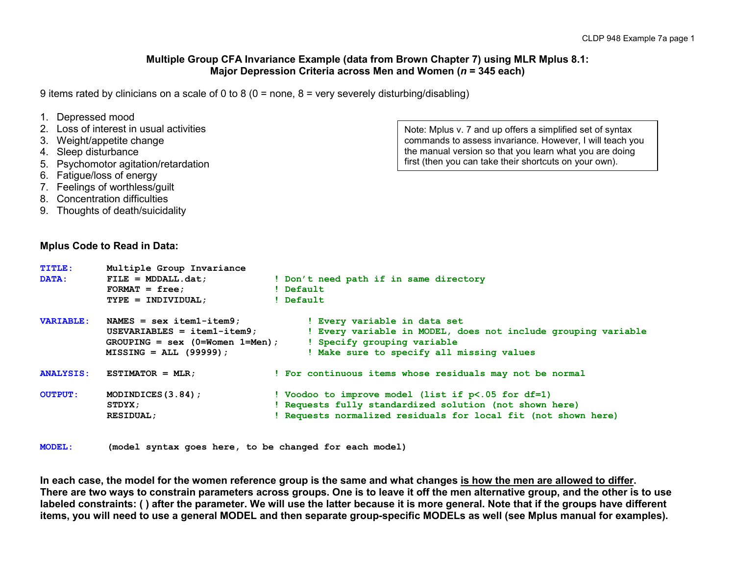#### **Multiple Group CFA Invariance Example (data from Brown Chapter 7) using MLR Mplus 8.1: Major Depression Criteria across Men and Women (***n* **= 345 each)**

9 items rated by clinicians on a scale of 0 to 8 (0 = none, 8 = very severely disturbing/disabling)

| 1. Depressed mood<br>4. Sleep disturbance<br>6. Fatigue/loss of energy | 2. Loss of interest in usual activities<br>3. Weight/appetite change<br>5. Psychomotor agitation/retardation<br>7. Feelings of worthless/guilt<br>8. Concentration difficulties<br>9. Thoughts of death/suicidality | Note: Mplus v. 7 and up offers a simplified set of syntax<br>commands to assess invariance. However, I will teach you<br>the manual version so that you learn what you are doing<br>first (then you can take their shortcuts on your own). |
|------------------------------------------------------------------------|---------------------------------------------------------------------------------------------------------------------------------------------------------------------------------------------------------------------|--------------------------------------------------------------------------------------------------------------------------------------------------------------------------------------------------------------------------------------------|
|                                                                        | <b>Mplus Code to Read in Data:</b>                                                                                                                                                                                  |                                                                                                                                                                                                                                            |
| <b>TITHE:</b><br>DATA:                                                 | Multiple Group Invariance<br>$FILE = MDDALL.dat;$<br>$FORMAT = free$<br>$TYPE = INDIVIDUAL;$                                                                                                                        | ! Don't need path if in same directory<br>! Default<br>! Default                                                                                                                                                                           |
| <b>VARIABLE:</b>                                                       | NAMES = $sex$ item1-item9;<br>$USEVARIABLES = item1 - item9;$<br>$GROUPING = sex (0=Women 1=Men);$<br>$MISSING = ALL (99999)$ ;                                                                                     | ! Every variable in data set<br>! Every variable in MODEL, does not include grouping variable<br>! Specify grouping variable<br>! Make sure to specify all missing values                                                                  |
| <b>ANALYSIS:</b>                                                       | $ESTIMATOR = MLR$ ;                                                                                                                                                                                                 | ! For continuous items whose residuals may not be normal                                                                                                                                                                                   |
| <b>OUTPUT:</b>                                                         | MODINDICES $(3.84)$ ;<br>STDYX;<br><b>RESIDUAL;</b>                                                                                                                                                                 | ! Voodoo to improve model (list if p<.05 for df=1)<br>! Requests fully standardized solution (not shown here)<br>! Requests normalized residuals for local fit (not shown here)                                                            |

**MODEL: (model syntax goes here, to be changed for each model)**

**In each case, the model for the women reference group is the same and what changes is how the men are allowed to differ. There are two ways to constrain parameters across groups. One is to leave it off the men alternative group, and the other is to use labeled constraints: ( ) after the parameter. We will use the latter because it is more general. Note that if the groups have different items, you will need to use a general MODEL and then separate group-specific MODELs as well (see Mplus manual for examples).**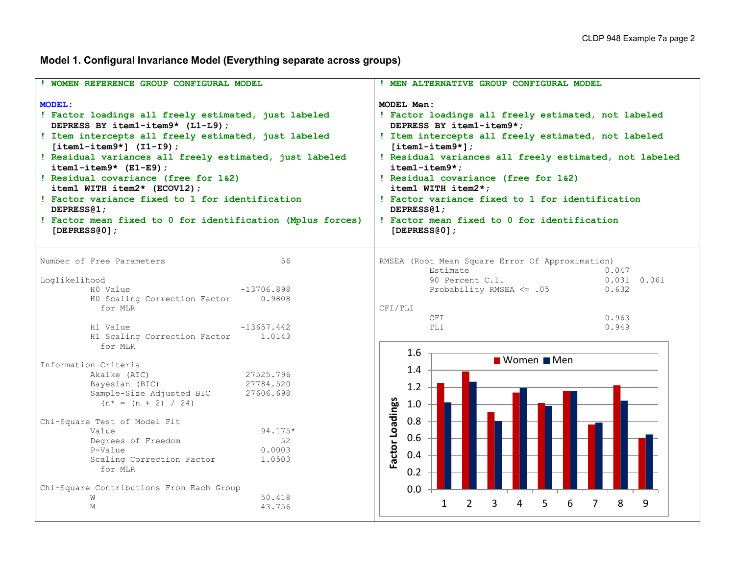# **Model 1. Configural Invariance Model (Everything separate across groups)**

| ! WOMEN REFERENCE GROUP CONFIGURAL MODEL                                                                                                                                                                                                                                                                                                                                                                                                                                                                                          | ! MEN ALTERNATIVE GROUP CONFIGURAL MODEL                                                                                                                                                                                                                                                                                                                                                                                                                          |  |  |  |  |
|-----------------------------------------------------------------------------------------------------------------------------------------------------------------------------------------------------------------------------------------------------------------------------------------------------------------------------------------------------------------------------------------------------------------------------------------------------------------------------------------------------------------------------------|-------------------------------------------------------------------------------------------------------------------------------------------------------------------------------------------------------------------------------------------------------------------------------------------------------------------------------------------------------------------------------------------------------------------------------------------------------------------|--|--|--|--|
| <b>MODEL:</b><br>! Factor loadings all freely estimated, just labeled<br>DEPRESS BY item1-item9* (L1-L9);<br>! Item intercepts all freely estimated, just labeled<br>$[item1-intem9*]$ $(I1-I9)$ ;<br>! Residual variances all freely estimated, just labeled<br>$item1 - item9* (E1-E9);$<br>! Residual covariance (free for 1&2)<br>item1 WITH item2* (ECOV12);<br>! Factor variance fixed to 1 for identification<br>DEPRESS <sub>(1</sub> ;<br>! Factor mean fixed to 0 for identification (Mplus forces)<br>[DEPRESS $(0)$ ; | MODEL Men:<br>! Factor loadings all freely estimated, not labeled<br>DEPRESS BY item1-item9*;<br>! Item intercepts all freely estimated, not labeled<br>$[item1 - item9*];$<br>! Residual variances all freely estimated, not labeled<br>item1-item9*;<br>! Residual covariance (free for 1&2)<br>item1 WITH item2*;<br>! Factor variance fixed to 1 for identification<br>DEPRESS <sub>(1</sub> ;<br>! Factor mean fixed to 0 for identification<br>[DEPRESS@0]; |  |  |  |  |
| Number of Free Parameters<br>56<br>Loglikelihood<br>HO Value<br>$-13706.898$<br>HO Scaling Correction Factor<br>0.9808<br>for MLR<br>H1 Value<br>$-13657.442$<br>H1 Scaling Correction Factor 1.0143                                                                                                                                                                                                                                                                                                                              | RMSEA (Root Mean Square Error Of Approximation)<br>Estimate<br>0.047<br>90 Percent C.I.<br>$0.031$ $0.061$<br>Probability RMSEA <= .05<br>0.632<br>CFI/TLI<br>0.963<br>CFI<br>TLI<br>0.949                                                                                                                                                                                                                                                                        |  |  |  |  |
| for MLR<br>Information Criteria<br>Akaike (AIC)<br>27525.796<br>Bayesian (BIC)<br>27784.520<br>Sample-Size Adjusted BIC<br>27606.698<br>$(n^* = (n + 2) / 24)$<br>Chi-Square Test of Model Fit<br>$94.175*$<br>Value<br>Degrees of Freedom<br>52<br>P-Value<br>0.0003<br>Scaling Correction Factor<br>1,0503<br>for MLR<br>Chi-Square Contributions From Each Group<br>50.418<br>W<br>43.756<br>M                                                                                                                                 | $1.6\phantom{0}$<br>■ Women ■ Men<br>1.4<br>1.2<br>Factor Loadings<br>1.0<br>0.8<br>0.6<br>0.4<br>0.2<br>0.0<br>1<br>$\mathcal{P}$<br>3<br>4<br>5<br>6<br>7<br>8<br>9                                                                                                                                                                                                                                                                                             |  |  |  |  |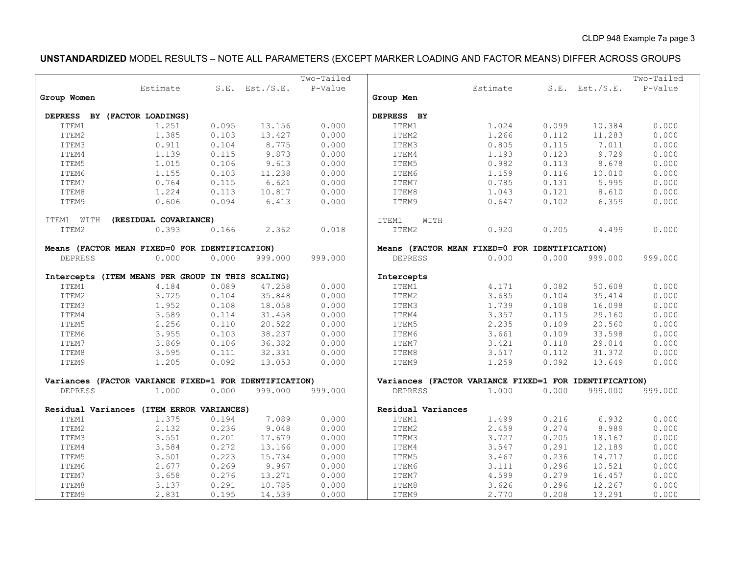# **UNSTANDARDIZED** MODEL RESULTS – NOTE ALL PARAMETERS (EXCEPT MARKER LOADING AND FACTOR MEANS) DIFFER ACROSS GROUPS

|                |                                                        |       |                     | Two-Tailed |                                                        |          |       |                     | Two-Tailed |
|----------------|--------------------------------------------------------|-------|---------------------|------------|--------------------------------------------------------|----------|-------|---------------------|------------|
|                | Estimate                                               |       | $S.E.$ Est./ $S.E.$ | P-Value    |                                                        | Estimate |       | $S.E.$ Est./ $S.E.$ | P-Value    |
| Group Women    |                                                        |       |                     |            | Group Men                                              |          |       |                     |            |
|                |                                                        |       |                     |            |                                                        |          |       |                     |            |
|                | DEPRESS BY (FACTOR LOADINGS)                           |       |                     |            | DEPRESS BY                                             |          |       |                     |            |
| ITEM1          | 1.251                                                  | 0.095 | 13.156              | 0.000      | ITEM1                                                  | 1.024    | 0.099 | 10.384              | 0.000      |
| ITEM2          | 1.385                                                  | 0.103 | 13.427              | 0.000      | ITEM2                                                  | 1.266    | 0.112 | 11.283              | 0.000      |
| ITEM3          | 0.911                                                  | 0.104 | 8.775               | 0.000      | ITEM3                                                  | 0.805    | 0.115 | 7.011               | 0.000      |
| ITEM4          | 1.139                                                  | 0.115 | 9.873               | 0.000      | ITEM4                                                  | 1.193    | 0.123 | 9.729               | 0.000      |
| ITEM5          | 1.015                                                  | 0.106 | 9.613               | 0.000      | ITEM5                                                  | 0.982    | 0.113 | 8.678               | 0.000      |
| ITEM6          | 1.155                                                  | 0.103 | 11.238              | 0.000      | ITEM6                                                  | 1.159    | 0.116 | 10.010              | 0.000      |
| ITEM7          | 0.764                                                  | 0.115 | 6.621               | 0.000      | ITEM7                                                  | 0.785    | 0.131 | 5.995               | 0.000      |
| ITEM8          | 1.224                                                  | 0.113 | 10.817              | 0.000      | ITEM8                                                  | 1.043    | 0.121 | 8.610               | 0.000      |
| ITEM9          | 0.606                                                  | 0.094 | 6.413               | 0.000      | ITEM9                                                  | 0.647    | 0.102 | 6.359               | 0.000      |
|                |                                                        |       |                     |            |                                                        |          |       |                     |            |
| ITEM1 WITH     | (RESIDUAL COVARIANCE)                                  |       |                     |            | ITEM1<br>WITH                                          |          |       |                     |            |
| ITEM2          | 0.393                                                  | 0.166 | 2.362               | 0.018      | ITEM2                                                  | 0.920    | 0.205 | 4.499               | 0.000      |
|                | Means (FACTOR MEAN FIXED=0 FOR IDENTIFICATION)         |       |                     |            | Means (FACTOR MEAN FIXED=0 FOR IDENTIFICATION)         |          |       |                     |            |
| <b>DEPRESS</b> | 0.000                                                  | 0.000 | 999.000             | 999.000    | <b>DEPRESS</b>                                         | 0.000    | 0.000 | 999.000             | 999.000    |
|                |                                                        |       |                     |            |                                                        |          |       |                     |            |
|                | Intercepts (ITEM MEANS PER GROUP IN THIS SCALING)      |       |                     |            | Intercepts                                             |          |       |                     |            |
| ITEM1          | 4.184                                                  | 0.089 | 47.258              | 0.000      | ITEM1                                                  | 4.171    | 0.082 | 50.608              | 0.000      |
| ITEM2          | 3.725                                                  | 0.104 | 35.848              | 0.000      | ITEM2                                                  | 3.685    | 0.104 | 35.414              | 0.000      |
| ITEM3          | 1.952                                                  | 0.108 | 18.058              | 0.000      | ITEM3                                                  | 1.739    | 0.108 | 16.098              | 0.000      |
| ITEM4          | 3.589                                                  | 0.114 | 31.458              | 0.000      | ITEM4                                                  | 3.357    | 0.115 | 29.160              | 0.000      |
| ITEM5          | 2.256                                                  | 0.110 | 20.522              | 0.000      | ITEM5                                                  | 2.235    | 0.109 | 20.560              | 0.000      |
| ITEM6          | 3.955                                                  | 0.103 | 38.237              | 0.000      | ITEM6                                                  | 3.661    | 0.109 | 33.598              | 0.000      |
| ITEM7          | 3.869                                                  | 0.106 | 36.382              | 0.000      | ITEM7                                                  | 3.421    | 0.118 | 29.014              | 0.000      |
| ITEM8          | 3.595                                                  | 0.111 | 32.331              | 0.000      | ITEM8                                                  | 3.517    | 0.112 | 31.372              | 0.000      |
| ITEM9          | 1.205                                                  | 0.092 | 13.053              | 0.000      | ITEM9                                                  | 1.259    | 0.092 | 13.649              | 0.000      |
|                |                                                        |       |                     |            |                                                        |          |       |                     |            |
|                | Variances (FACTOR VARIANCE FIXED=1 FOR IDENTIFICATION) |       |                     |            | Variances (FACTOR VARIANCE FIXED=1 FOR IDENTIFICATION) |          |       |                     |            |
| <b>DEPRESS</b> | 1.000                                                  | 0.000 | 999.000             | 999.000    | <b>DEPRESS</b>                                         | 1.000    | 0.000 | 999.000             | 999.000    |
|                | Residual Variances (ITEM ERROR VARIANCES)              |       |                     |            | Residual Variances                                     |          |       |                     |            |
| ITEM1          | 1.375                                                  | 0.194 | 7.089               | 0.000      | ITEM1                                                  | 1.499    | 0.216 | 6.932               | 0.000      |
| ITEM2          | 2.132                                                  | 0.236 | 9.048               | 0.000      | ITEM2                                                  | 2.459    | 0.274 | 8.989               | 0.000      |
| ITEM3          | 3.551                                                  | 0.201 | 17.679              | 0.000      | ITEM3                                                  | 3.727    | 0.205 | 18.167              | 0.000      |
| ITEM4          | 3.584                                                  | 0.272 | 13.166              | 0.000      | ITEM4                                                  | 3.547    | 0.291 | 12.189              | 0.000      |
| ITEM5          | 3.501                                                  | 0.223 | 15.734              | 0.000      | ITEM5                                                  | 3.467    | 0.236 | 14.717              | 0.000      |
| ITEM6          | 2.677                                                  | 0.269 | 9.967               | 0.000      | ITEM6                                                  | 3.111    | 0.296 | 10.521              | 0.000      |
| ITEM7          | 3.658                                                  | 0.276 | 13.271              | 0.000      | ITEM7                                                  | 4.599    | 0.279 | 16.457              | 0.000      |
| ITEM8          | 3.137                                                  | 0.291 | 10.785              | 0.000      | ITEM8                                                  | 3.626    | 0.296 | 12.267              | 0.000      |
| ITEM9          | 2.831                                                  | 0.195 | 14.539              | 0.000      | ITEM9                                                  | 2.770    | 0.208 | 13.291              | 0.000      |
|                |                                                        |       |                     |            |                                                        |          |       |                     |            |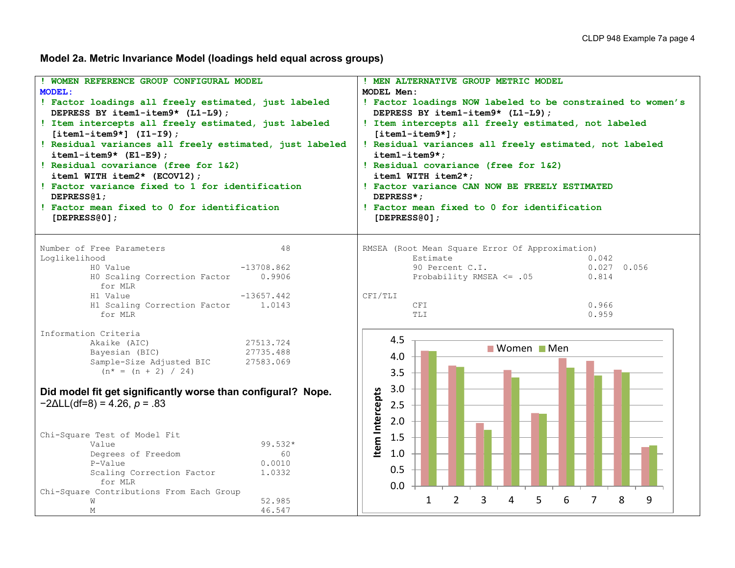**Model 2a. Metric Invariance Model (loadings held equal across groups)**

| ! WOMEN REFERENCE GROUP CONFIGURAL MODEL<br><b>MODEL:</b><br>! Factor loadings all freely estimated, just labeled<br>DEPRESS BY item1-item9* (L1-L9);<br>! Item intercepts all freely estimated, just labeled<br>$[item1 - item9*]$ (I1-I9);<br>! Residual variances all freely estimated, just labeled<br>$item1 - item9* (E1-E9);$<br>! Residual covariance (free for 1&2)<br>item1 WITH item2* (ECOV12);<br>! Factor variance fixed to 1 for identification<br>DEPRESS <sub>(1</sub> ;<br>! Factor mean fixed to 0 for identification<br>[DEPRESS $@0]$ ; | ! MEN ALTERNATIVE GROUP METRIC MODEL<br>MODEL Men:<br>! Factor loadings NOW labeled to be constrained to women's<br>DEPRESS BY item1-item9* (L1-L9);<br>! Item intercepts all freely estimated, not labeled<br>$[item1 - item9*]$ ;<br>! Residual variances all freely estimated, not labeled<br>$item1 - item9*$<br>! Residual covariance (free for 1&2)<br>item1 WITH item2*;<br>! Factor variance CAN NOW BE FREELY ESTIMATED<br>DEPRESS*:<br>! Factor mean fixed to 0 for identification<br>[DEPRESS@0]; |  |  |  |  |  |
|--------------------------------------------------------------------------------------------------------------------------------------------------------------------------------------------------------------------------------------------------------------------------------------------------------------------------------------------------------------------------------------------------------------------------------------------------------------------------------------------------------------------------------------------------------------|--------------------------------------------------------------------------------------------------------------------------------------------------------------------------------------------------------------------------------------------------------------------------------------------------------------------------------------------------------------------------------------------------------------------------------------------------------------------------------------------------------------|--|--|--|--|--|
| Number of Free Parameters<br>48<br>Loglikelihood<br>$-13708.862$<br>HO Value<br>HO Scaling Correction Factor<br>0.9906<br>for MLR<br>H1 Value<br>$-13657.442$<br>H1 Scaling Correction Factor<br>1.0143<br>for MLR                                                                                                                                                                                                                                                                                                                                           | RMSEA (Root Mean Square Error Of Approximation)<br>Estimate<br>0.042<br>90 Percent C.I.<br>$0.027$ 0.056<br>Probability RMSEA <= .05<br>0.814<br>CFI/TLI<br>0.966<br><b>CFI</b><br>TLI<br>0.959                                                                                                                                                                                                                                                                                                              |  |  |  |  |  |
| Information Criteria<br>Akaike (AIC)<br>27513.724<br>Bayesian (BIC)<br>27735.488<br>Sample-Size Adjusted BIC<br>27583.069<br>$(n^* = (n + 2) / 24)$<br>Did model fit get significantly worse than configural? Nope.<br>$-2\Delta L L(df=8) = 4.26, p = .83$<br>Chi-Square Test of Model Fit<br>Value<br>99.532*<br>Degrees of Freedom<br>60<br>P-Value<br>0.0010<br>Scaling Correction Factor<br>1.0332<br>for MLR                                                                                                                                           | 4.5<br>Women Men<br>4.0<br>3.5<br>3.0<br>Item Intercepts<br>2.5<br>2.0<br>1.5<br>1.0<br>0.5<br>0.0                                                                                                                                                                                                                                                                                                                                                                                                           |  |  |  |  |  |
| Chi-Square Contributions From Each Group<br>52.985<br>W<br>46.547<br>$M_{\odot}$                                                                                                                                                                                                                                                                                                                                                                                                                                                                             | $\overline{2}$<br>3<br>8<br>5<br>7<br>9<br>1<br>4<br>6                                                                                                                                                                                                                                                                                                                                                                                                                                                       |  |  |  |  |  |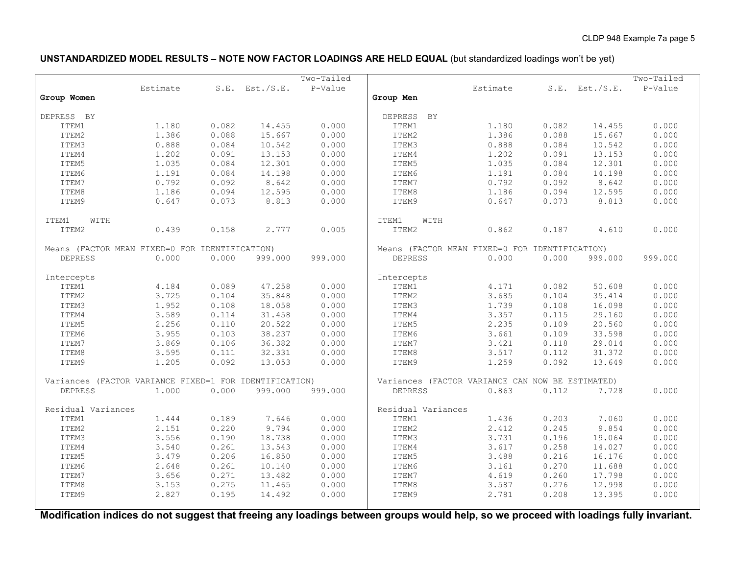### **UNSTANDARDIZED MODEL RESULTS – NOTE NOW FACTOR LOADINGS ARE HELD EQUAL** (but standardized loadings won't be yet)

|                                                        |          |       |                     | $Two-Tailed$ |                                                  |          |       |                     | Two-Tailed |
|--------------------------------------------------------|----------|-------|---------------------|--------------|--------------------------------------------------|----------|-------|---------------------|------------|
|                                                        | Estimate |       | $S.E.$ Est./ $S.E.$ | P-Value      |                                                  | Estimate |       | $S.E.$ Est./ $S.E.$ | P-Value    |
| Group Women                                            |          |       |                     |              | Group Men                                        |          |       |                     |            |
|                                                        |          |       |                     |              |                                                  |          |       |                     |            |
| DEPRESS BY                                             |          |       |                     |              | DEPRESS BY                                       |          |       |                     |            |
| ITEM1                                                  | 1,180    | 0.082 | 14.455              | 0.000        | ITEM1                                            | 1.180    | 0.082 | 14.455              | 0.000      |
| ITEM2                                                  | 1.386    | 0.088 | 15.667              | 0.000        | ITEM2                                            | 1.386    | 0.088 | 15.667              | 0.000      |
| ITEM3                                                  | 0.888    | 0.084 | 10.542              | 0.000        | ITEM3                                            | 0.888    | 0.084 | 10.542              | 0.000      |
| ITEM4                                                  | 1.202    | 0.091 | 13.153              | 0.000        | ITEM4                                            | 1.202    | 0.091 | 13.153              | 0.000      |
| ITEM5                                                  | 1.035    | 0.084 | 12.301              | 0.000        | ITEM5                                            | 1.035    | 0.084 | 12.301              | 0.000      |
| ITEM6                                                  | 1.191    | 0.084 | 14.198              | 0.000        | ITEM6                                            | 1.191    | 0.084 | 14.198              | 0.000      |
| ITEM7                                                  | 0.792    | 0.092 | 8.642               | 0.000        | ITEM7                                            | 0.792    | 0.092 | 8.642               | 0.000      |
| ITEM8                                                  | 1.186    | 0.094 | 12.595              | 0.000        | ITEM8                                            | 1.186    | 0.094 | 12.595              | 0.000      |
| ITEM9                                                  | 0.647    | 0.073 | 8.813               | 0.000        | ITEM9                                            | 0.647    | 0.073 | 8.813               | 0.000      |
|                                                        |          |       |                     |              |                                                  |          |       |                     |            |
| ITEM1<br>WITH                                          |          |       |                     |              | ITEM1<br>WITH                                    |          |       |                     |            |
| ITEM2                                                  | 0.439    | 0.158 | 2.777               | 0.005        | ITEM2                                            | 0.862    | 0.187 | 4.610               | 0.000      |
| Means (FACTOR MEAN FIXED=0 FOR IDENTIFICATION)         |          |       |                     |              | Means (FACTOR MEAN FIXED=0 FOR IDENTIFICATION)   |          |       |                     |            |
| <b>DEPRESS</b>                                         | 0.000    | 0.000 | 999.000             | 999.000      | <b>DEPRESS</b>                                   | 0.000    | 0.000 | 999.000             | 999.000    |
|                                                        |          |       |                     |              |                                                  |          |       |                     |            |
| Intercepts                                             |          |       |                     |              | Intercepts                                       |          |       |                     |            |
| ITEM1                                                  | 4.184    | 0.089 | 47.258              | 0.000        | ITEM1                                            | 4.171    | 0.082 | 50.608              | 0.000      |
| ITEM2                                                  | 3.725    | 0.104 | 35.848              | 0.000        | ITEM2                                            | 3.685    | 0.104 | 35.414              | 0.000      |
| ITEM3                                                  | 1.952    | 0.108 | 18.058              | 0.000        | ITEM3                                            | 1.739    | 0.108 | 16.098              | 0.000      |
| ITEM4                                                  | 3.589    | 0.114 | 31.458              | 0.000        | ITEM4                                            | 3.357    | 0.115 | 29.160              | 0.000      |
| ITEM5                                                  | 2.256    | 0.110 | 20.522              | 0.000        | ITEM5                                            | 2.235    | 0.109 | 20.560              | 0.000      |
| ITEM6                                                  | 3.955    | 0.103 | 38.237              | 0.000        | ITEM6                                            | 3.661    | 0.109 | 33.598              | 0.000      |
| ITEM7                                                  | 3.869    | 0.106 | 36.382              | 0.000        | ITEM7                                            | 3.421    | 0.118 | 29.014              | 0.000      |
| ITEM8                                                  | 3.595    | 0.111 | 32.331              | 0.000        | ITEM8                                            | 3.517    | 0.112 | 31.372              | 0.000      |
| ITEM9                                                  | 1.205    | 0.092 | 13.053              | 0.000        | ITEM9                                            | 1.259    | 0.092 | 13.649              | 0.000      |
|                                                        |          |       |                     |              |                                                  |          |       |                     |            |
| Variances (FACTOR VARIANCE FIXED=1 FOR IDENTIFICATION) |          |       |                     |              | Variances (FACTOR VARIANCE CAN NOW BE ESTIMATED) |          |       |                     |            |
| <b>DEPRESS</b>                                         | 1.000    | 0.000 | 999.000             | 999.000      | <b>DEPRESS</b>                                   | 0.863    | 0.112 | 7.728               | 0.000      |
| Residual Variances                                     |          |       |                     |              | Residual Variances                               |          |       |                     |            |
| ITEM1                                                  | 1.444    | 0.189 | 7.646               | 0.000        | ITEM1                                            | 1.436    | 0.203 | 7.060               | 0.000      |
| ITEM2                                                  | 2.151    | 0.220 | 9.794               | 0.000        | ITEM2                                            | 2.412    | 0.245 | 9.854               | 0.000      |
| ITEM3                                                  | 3.556    | 0.190 | 18.738              | 0.000        | ITEM3                                            | 3.731    | 0.196 | 19.064              | 0.000      |
| ITEM4                                                  | 3.540    | 0.261 | 13.543              | 0.000        | ITEM4                                            | 3.617    | 0.258 | 14.027              | 0.000      |
| ITEM5                                                  | 3.479    | 0.206 | 16.850              | 0.000        | ITEM5                                            | 3.488    | 0.216 | 16.176              | 0.000      |
| ITEM6                                                  | 2.648    | 0.261 | 10.140              | 0.000        | ITEM6                                            | 3.161    | 0.270 | 11.688              | 0.000      |
| ITEM7                                                  | 3.656    | 0.271 | 13.482              | 0.000        | ITEM7                                            | 4.619    | 0.260 | 17.798              | 0.000      |
| ITEM8                                                  | 3.153    | 0.275 | 11.465              | 0.000        | ITEM8                                            | 3.587    | 0.276 | 12.998              | 0.000      |
| ITEM9                                                  | 2.827    | 0.195 | 14.492              | 0.000        | ITEM9                                            | 2.781    | 0.208 | 13.395              | 0.000      |
|                                                        |          |       |                     |              |                                                  |          |       |                     |            |

**Modification indices do not suggest that freeing any loadings between groups would help, so we proceed with loadings fully invariant.**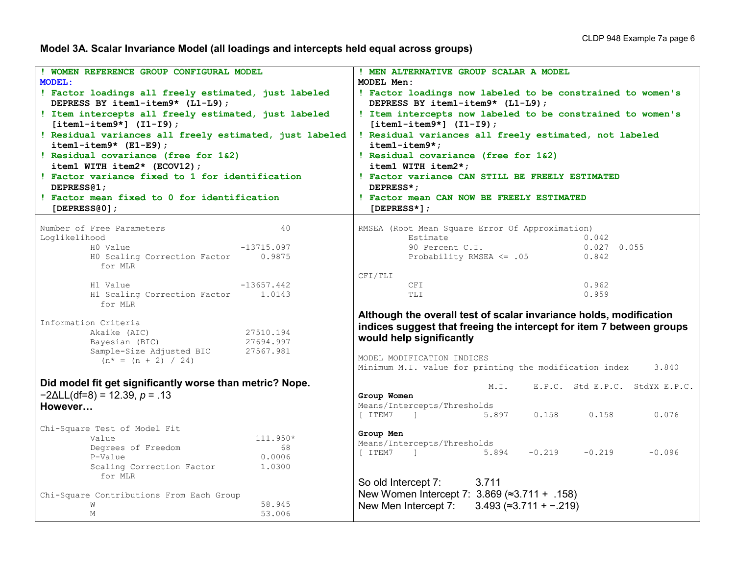**Model 3A. Scalar Invariance Model (all loadings and intercepts held equal across groups)**

| ! WOMEN REFERENCE GROUP CONFIGURAL MODEL                                                 | ! MEN ALTERNATIVE GROUP SCALAR A MODEL                                                         |
|------------------------------------------------------------------------------------------|------------------------------------------------------------------------------------------------|
| <b>MODEL:</b>                                                                            | MODEL Men:                                                                                     |
|                                                                                          |                                                                                                |
| ! Factor loadings all freely estimated, just labeled<br>DEPRESS BY item1-item9* (L1-L9); | ! Factor loadings now labeled to be constrained to women's<br>DEPRESS BY item1-item9* (L1-L9); |
|                                                                                          |                                                                                                |
| ! Item intercepts all freely estimated, just labeled                                     | ! Item intercepts now labeled to be constrained to women's                                     |
| $[item1 - item9*]$ $(I1 - I9)$ ;                                                         | $[item1 - item9*]$ $(I1 - I9)$ ;                                                               |
| ! Residual variances all freely estimated, just labeled                                  | ! Residual variances all freely estimated, not labeled                                         |
| $item1 - item9* (E1-E9);$                                                                | item1-item9*;                                                                                  |
| ! Residual covariance (free for 1&2)                                                     | ! Residual covariance (free for 1&2)                                                           |
| item1 WITH item2* (ECOV12);                                                              | item1 WITH item2*;                                                                             |
| ! Factor variance fixed to 1 for identification                                          | ! Factor variance CAN STILL BE FREELY ESTIMATED                                                |
| DEPRESS <sub>(1;</sub>                                                                   | DEPRESS*;                                                                                      |
| ! Factor mean fixed to 0 for identification                                              | ! Factor mean CAN NOW BE FREELY ESTIMATED                                                      |
| [DEPRESS $0$ ];                                                                          | [DEPRESS $\star$ ] ;                                                                           |
| Number of Free Parameters<br>40                                                          | RMSEA (Root Mean Square Error Of Approximation)                                                |
| Loglikelihood                                                                            | Estimate<br>0.042                                                                              |
| HO Value<br>$-13715.097$                                                                 | 90 Percent C.I.<br>$0.027$ 0.055                                                               |
| HO Scaling Correction Factor 0.9875                                                      | Probability RMSEA $\leq$ .05<br>0.842                                                          |
| for MLR                                                                                  |                                                                                                |
|                                                                                          | CFI/TLI                                                                                        |
| $-13657.442$<br>H1 Value                                                                 | 0.962<br>CFI                                                                                   |
| H1 Scaling Correction Factor 1.0143<br>for MLR                                           | TLI<br>0.959                                                                                   |
|                                                                                          | Although the overall test of scalar invariance holds, modification                             |
| Information Criteria                                                                     | indices suggest that freeing the intercept for item 7 between groups                           |
| Akaike (AIC)<br>27510.194                                                                | would help significantly                                                                       |
| Bayesian (BIC)<br>27694.997                                                              |                                                                                                |
| Sample-Size Adjusted BIC<br>27567.981                                                    | MODEL MODIFICATION INDICES                                                                     |
| $(n^* = (n + 2) / 24)$                                                                   | Minimum M.I. value for printing the modification index<br>3.840                                |
|                                                                                          |                                                                                                |
| Did model fit get significantly worse than metric? Nope.                                 | E.P.C. Std E.P.C. StdYX E.P.C.<br>M. I.                                                        |
| $-2\Delta L L(df=8) = 12.39, p = .13$                                                    | Group Women                                                                                    |
| However                                                                                  | Means/Intercepts/Thresholds<br>[ ITEM7 ] 5.897<br>$0.158$ $0.158$<br>0.076                     |
| Chi-Square Test of Model Fit                                                             |                                                                                                |
| 111.950*<br>Value                                                                        | Group Men                                                                                      |
| Degrees of Freedom<br>68                                                                 | Means/Intercepts/Thresholds<br>$-0.219$                                                        |
| P-Value<br>0.0006                                                                        | [ ITEM7<br>$5.894 -0.219$<br>$-0.096$<br>and the company of the company of                     |
| Scaling Correction Factor<br>1,0300                                                      |                                                                                                |
| for MLR                                                                                  |                                                                                                |
|                                                                                          | 3.711<br>So old Intercept 7:                                                                   |
| Chi-Square Contributions From Each Group                                                 | New Women Intercept 7: $3.869$ ( $\approx$ 3.711 + .158)                                       |
| 58.945<br>W                                                                              | New Men Intercept 7: $3.493$ ( $\approx$ 3.711 + -.219)                                        |
| $\mathbf{M}$<br>53.006                                                                   |                                                                                                |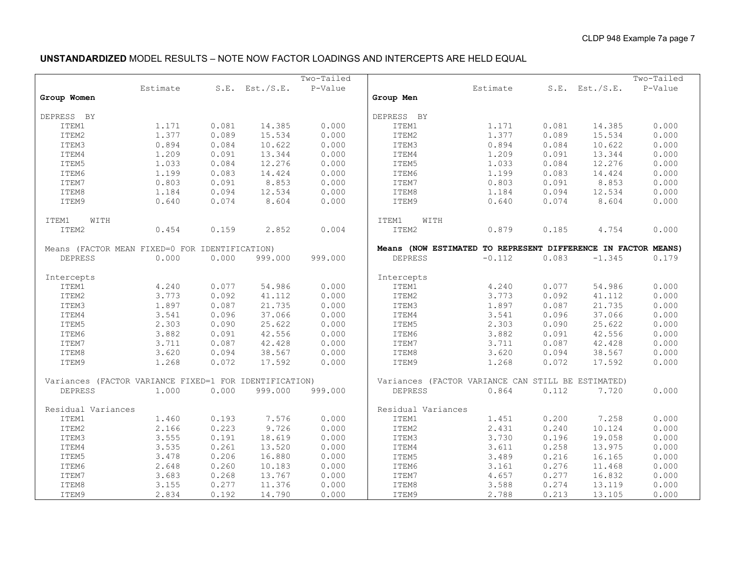## **UNSTANDARDIZED** MODEL RESULTS – NOTE NOW FACTOR LOADINGS AND INTERCEPTS ARE HELD EQUAL

|                                                        |          |       |                     | Two-Tailed |                                                               |          |       |                     | Two-Tailed |
|--------------------------------------------------------|----------|-------|---------------------|------------|---------------------------------------------------------------|----------|-------|---------------------|------------|
|                                                        | Estimate |       | $S.E.$ Est./ $S.E.$ | P-Value    |                                                               | Estimate |       | $S.E.$ Est./ $S.E.$ | P-Value    |
| Group Women                                            |          |       |                     |            | Group Men                                                     |          |       |                     |            |
|                                                        |          |       |                     |            |                                                               |          |       |                     |            |
| DEPRESS BY                                             |          |       |                     |            | DEPRESS BY                                                    |          |       |                     |            |
| ITEM1                                                  | 1.171    | 0.081 | 14.385              | 0.000      | ITEM1                                                         | 1.171    | 0.081 | 14.385              | 0.000      |
| ITEM2                                                  | 1.377    | 0.089 | 15.534              | 0.000      | ITEM2                                                         | 1.377    | 0.089 | 15.534              | 0.000      |
| ITEM3                                                  | 0.894    | 0.084 | 10.622              | 0.000      | ITEM3                                                         | 0.894    | 0.084 | 10.622              | 0.000      |
| ITEM4                                                  | 1.209    | 0.091 | 13.344              | 0.000      | ITEM4                                                         | 1.209    | 0.091 | 13.344              | 0.000      |
| ITEM5                                                  | 1.033    | 0.084 | 12.276              | 0.000      | ITEM5                                                         | 1.033    | 0.084 | 12.276              | 0.000      |
| ITEM6                                                  | 1.199    | 0.083 | 14.424              | 0.000      | ITEM6                                                         | 1.199    | 0.083 | 14.424              | 0.000      |
| ITEM7                                                  | 0.803    | 0.091 | 8.853               | 0.000      | ITEM7                                                         | 0.803    | 0.091 | 8.853               | 0.000      |
| ITEM8                                                  | 1.184    | 0.094 | 12.534              | 0.000      | ITEM8                                                         | 1.184    | 0.094 | 12.534              | 0.000      |
| ITEM9                                                  | 0.640    | 0.074 | 8.604               | 0.000      | ITEM9                                                         | 0.640    | 0.074 | 8.604               | 0.000      |
|                                                        |          |       |                     |            |                                                               |          |       |                     |            |
| ITEM1<br>WITH                                          |          |       |                     |            | ITEM1<br>WITH                                                 |          |       |                     |            |
| ITEM2                                                  | 0.454    | 0.159 | 2.852               | 0.004      | ITEM2                                                         | 0.879    | 0.185 | 4.754               | 0.000      |
|                                                        |          |       |                     |            |                                                               |          |       |                     |            |
| Means (FACTOR MEAN FIXED=0 FOR IDENTIFICATION)         |          |       |                     |            | Means (NOW ESTIMATED TO REPRESENT DIFFERENCE IN FACTOR MEANS) |          |       |                     |            |
| <b>DEPRESS</b>                                         | 0.000    | 0.000 | 999.000             | 999.000    | <b>DEPRESS</b>                                                | $-0.112$ | 0.083 | $-1.345$            | 0.179      |
|                                                        |          |       |                     |            |                                                               |          |       |                     |            |
| Intercepts                                             |          |       |                     |            | Intercepts                                                    |          |       |                     |            |
| ITEM1                                                  | 4.240    | 0.077 | 54.986              | 0.000      | ITEM1                                                         | 4.240    | 0.077 | 54.986              | 0.000      |
| ITEM2                                                  | 3.773    | 0.092 | 41.112              | 0.000      | ITEM2                                                         | 3.773    | 0.092 | 41.112              | 0.000      |
| ITEM3                                                  | 1.897    | 0.087 | 21.735              | 0.000      | ITEM3                                                         | 1.897    | 0.087 | 21.735              | 0.000      |
| ITEM4                                                  | 3.541    | 0.096 | 37.066              | 0.000      | ITEM4                                                         | 3.541    | 0.096 | 37.066              | 0.000      |
| ITEM5                                                  | 2.303    | 0.090 | 25.622              | 0.000      | ITEM5                                                         | 2.303    | 0.090 | 25.622              | 0.000      |
| ITEM6                                                  | 3.882    | 0.091 | 42.556              | 0.000      | ITEM6                                                         | 3.882    | 0.091 | 42.556              | 0.000      |
| ITEM7                                                  | 3.711    | 0.087 | 42.428              | 0.000      | ITEM7                                                         | 3.711    | 0.087 | 42.428              | 0.000      |
| ITEM8                                                  | 3.620    | 0.094 | 38.567              | 0.000      | ITEM8                                                         | 3.620    | 0.094 | 38.567              | 0.000      |
| ITEM9                                                  | 1.268    | 0.072 | 17.592              | 0.000      | ITEM9                                                         | 1.268    | 0.072 | 17.592              | 0.000      |
|                                                        |          |       |                     |            |                                                               |          |       |                     |            |
| Variances (FACTOR VARIANCE FIXED=1 FOR IDENTIFICATION) |          |       |                     |            | Variances (FACTOR VARIANCE CAN STILL BE ESTIMATED)            |          |       |                     |            |
| <b>DEPRESS</b>                                         | 1,000    | 0.000 | 999.000             | 999.000    | <b>DEPRESS</b>                                                | 0.864    | 0.112 | 7.720               | 0.000      |
|                                                        |          |       |                     |            |                                                               |          |       |                     |            |
| Residual Variances                                     |          |       |                     |            | Residual Variances                                            |          |       |                     |            |
| ITEM1                                                  | 1.460    | 0.193 | 7.576               | 0.000      | ITEM1                                                         | 1.451    | 0.200 | 7.258               | 0.000      |
| ITEM2                                                  | 2.166    | 0.223 | 9.726               | 0.000      | ITEM2                                                         | 2.431    | 0.240 | 10.124              | 0.000      |
| ITEM3                                                  | 3.555    | 0.191 | 18.619              | 0.000      | ITEM3                                                         | 3.730    | 0.196 | 19.058              | 0.000      |
| ITEM4                                                  | 3.535    | 0.261 | 13.520              | 0.000      | ITEM4                                                         | 3.611    | 0.258 | 13.975              | 0.000      |
| ITEM5                                                  | 3.478    | 0.206 | 16.880              | 0.000      | ITEM5                                                         | 3.489    | 0.216 | 16.165              | 0.000      |
| ITEM6                                                  | 2.648    | 0.260 | 10.183              | 0.000      | ITEM6                                                         | 3.161    | 0.276 | 11.468              | 0.000      |
| ITEM7                                                  | 3.683    | 0.268 | 13.767              | 0.000      | ITEM7                                                         | 4.657    | 0.277 | 16.832              | 0.000      |
| ITEM8                                                  | 3.155    | 0.277 | 11.376              | 0.000      | ITEM8                                                         | 3.588    | 0.274 | 13.119              | 0.000      |
| ITEM9                                                  | 2.834    | 0.192 | 14.790              | 0.000      | ITEM9                                                         | 2.788    | 0.213 | 13.105              | 0.000      |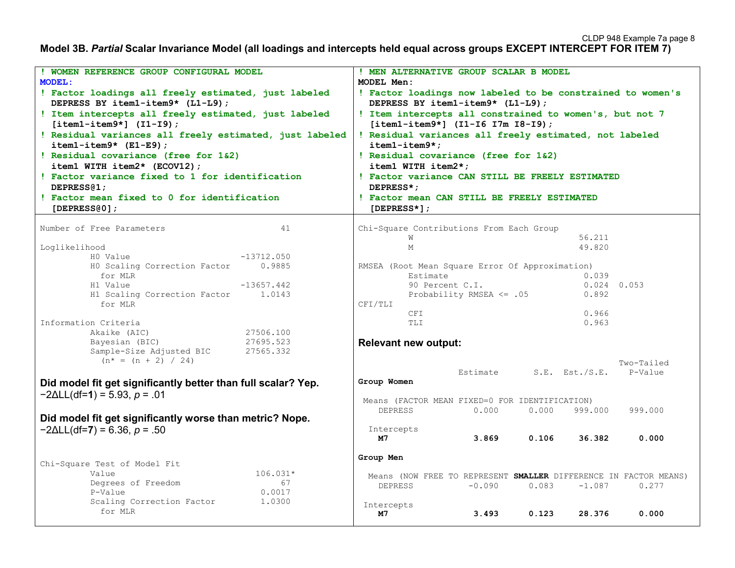#### **Model 3B.** *Partial* **Scalar Invariance Model (all loadings and intercepts held equal across groups EXCEPT INTERCEPT FOR ITEM 7)**

| WOMEN REFERENCE GROUP CONFIGURAL MODEL                        | ! MEN ALTERNATIVE GROUP SCALAR B MODEL                                                         |  |  |  |  |  |
|---------------------------------------------------------------|------------------------------------------------------------------------------------------------|--|--|--|--|--|
| <b>MODEL:</b>                                                 | MODEL Men:                                                                                     |  |  |  |  |  |
| ! Factor loadings all freely estimated, just labeled          |                                                                                                |  |  |  |  |  |
| DEPRESS BY item1-item9* (L1-L9);                              | ! Factor loadings now labeled to be constrained to women's<br>DEPRESS BY item1-item9* (L1-L9); |  |  |  |  |  |
| ! Item intercepts all freely estimated, just labeled          | ! Item intercepts all constrained to women's, but not 7                                        |  |  |  |  |  |
| $[item1 - item9*]$ (I1-I9);                                   | $[item1 - item9*]$ (I1-I6 I7m I8-I9);                                                          |  |  |  |  |  |
|                                                               |                                                                                                |  |  |  |  |  |
| ! Residual variances all freely estimated, just labeled       | ! Residual variances all freely estimated, not labeled                                         |  |  |  |  |  |
| $item1 - item9* (E1-E9);$                                     | item1-item9*;                                                                                  |  |  |  |  |  |
| ! Residual covariance (free for 1&2)                          | ! Residual covariance (free for 1&2)                                                           |  |  |  |  |  |
| $item1$ WITH $item2*$ (ECOV12);                               | item1 WITH item2*;                                                                             |  |  |  |  |  |
| ! Factor variance fixed to 1 for identification               | ! Factor variance CAN STILL BE FREELY ESTIMATED                                                |  |  |  |  |  |
| DEPRESS <sub>(1</sub> ;                                       | DEPRESS*;                                                                                      |  |  |  |  |  |
| ! Factor mean fixed to 0 for identification                   | ! Factor mean CAN STILL BE FREELY ESTIMATED                                                    |  |  |  |  |  |
| [DEPRESS $0$ ];                                               | $[DEPRESS*]$                                                                                   |  |  |  |  |  |
|                                                               |                                                                                                |  |  |  |  |  |
| Number of Free Parameters<br>41                               | Chi-Square Contributions From Each Group                                                       |  |  |  |  |  |
|                                                               | 56.211<br>W                                                                                    |  |  |  |  |  |
| Loglikelihood                                                 | 49.820<br>М                                                                                    |  |  |  |  |  |
| HO Value<br>$-13712.050$                                      |                                                                                                |  |  |  |  |  |
| HO Scaling Correction Factor<br>0.9885                        | RMSEA (Root Mean Square Error Of Approximation)<br>Estimate                                    |  |  |  |  |  |
| for MLR<br>H1 Value<br>$-13657.442$                           | 0.039<br>90 Percent C.I.<br>$0.024$ 0.053                                                      |  |  |  |  |  |
| H1 Scaling Correction Factor<br>1.0143                        | Probability RMSEA <= .05<br>0.892                                                              |  |  |  |  |  |
| for MLR                                                       | CFI/TLI                                                                                        |  |  |  |  |  |
|                                                               | 0.966<br>CFI                                                                                   |  |  |  |  |  |
| Information Criteria                                          | 0.963<br>TLI                                                                                   |  |  |  |  |  |
| Akaike (AIC)<br>27506.100                                     |                                                                                                |  |  |  |  |  |
| Bayesian (BIC)<br>27695.523                                   | <b>Relevant new output:</b>                                                                    |  |  |  |  |  |
| Sample-Size Adjusted BIC<br>27565.332                         |                                                                                                |  |  |  |  |  |
| $(n^* = (n + 2) / 24)$                                        | Two-Tailed                                                                                     |  |  |  |  |  |
|                                                               | Estimate<br>$S.E.$ Est./S.E.<br>P-Value                                                        |  |  |  |  |  |
| Did model fit get significantly better than full scalar? Yep. | Group Women                                                                                    |  |  |  |  |  |
|                                                               |                                                                                                |  |  |  |  |  |
| $-2\Delta L L$ (df=1) = 5.93, p = .01                         | Means (FACTOR MEAN FIXED=0 FOR IDENTIFICATION)                                                 |  |  |  |  |  |
|                                                               | 999.000<br><b>DEPRESS</b><br>0.000<br>0.000<br>999.000                                         |  |  |  |  |  |
| Did model fit get significantly worse than metric? Nope.      |                                                                                                |  |  |  |  |  |
| $-2\Delta L L$ (df=7) = 6.36, p = .50                         | Intercepts                                                                                     |  |  |  |  |  |
|                                                               | 3.869<br>0.106<br>36.382<br>м7<br>0.000                                                        |  |  |  |  |  |
|                                                               |                                                                                                |  |  |  |  |  |
| Chi-Square Test of Model Fit                                  | Group Men                                                                                      |  |  |  |  |  |
| Value<br>$106.031*$                                           |                                                                                                |  |  |  |  |  |
| Degrees of Freedom<br>67                                      | Means (NOW FREE TO REPRESENT SMALLER DIFFERENCE IN FACTOR MEANS)                               |  |  |  |  |  |
| P-Value<br>0.0017                                             | $-0.090$<br><b>DEPRESS</b><br>0.083<br>$-1.087$<br>0.277                                       |  |  |  |  |  |
| Scaling Correction Factor<br>1.0300                           |                                                                                                |  |  |  |  |  |
| for MLR                                                       | Intercepts<br>28.376                                                                           |  |  |  |  |  |
|                                                               | 3.493<br>0.123<br>0.000<br>м7                                                                  |  |  |  |  |  |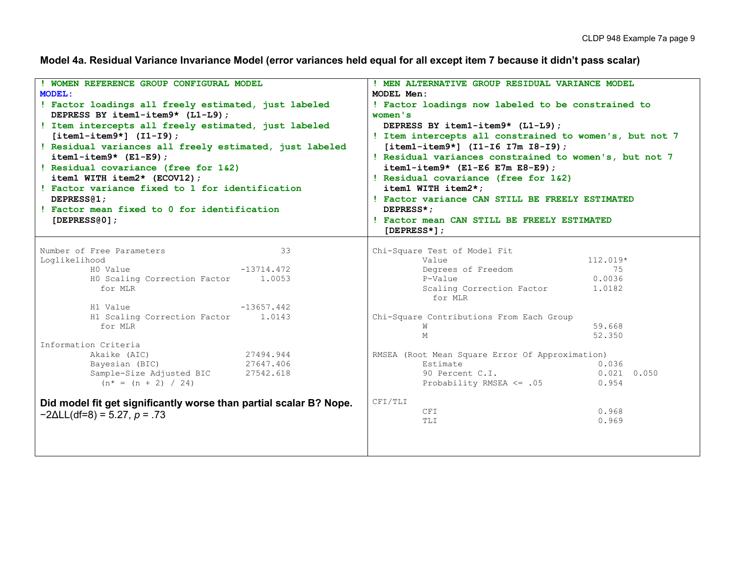**Model 4a. Residual Variance Invariance Model (error variances held equal for all except item 7 because it didn't pass scalar)**

| ! WOMEN REFERENCE GROUP CONFIGURAL MODEL                           |                        | ! MEN ALTERNATIVE GROUP RESIDUAL VARIANCE MODEL                             |                 |  |  |  |
|--------------------------------------------------------------------|------------------------|-----------------------------------------------------------------------------|-----------------|--|--|--|
| <b>MODEL:</b>                                                      |                        | MODEL Men:<br>! Factor loadings now labeled to be constrained to<br>women's |                 |  |  |  |
| ! Factor loadings all freely estimated, just labeled               |                        |                                                                             |                 |  |  |  |
| DEPRESS BY item1-item9* (L1-L9);                                   |                        |                                                                             |                 |  |  |  |
| ! Item intercepts all freely estimated, just labeled               |                        | DEPRESS BY item1-item9* (L1-L9);                                            |                 |  |  |  |
| $[item1-intem9*] (I1-I9)$                                          |                        | ! Item intercepts all constrained to women's, but not 7                     |                 |  |  |  |
| ! Residual variances all freely estimated, just labeled            |                        | $[item1 - item9*]$ (I1-I6 I7m I8-I9);                                       |                 |  |  |  |
| $item1 - item9*$ (E1-E9);                                          |                        | ! Residual variances constrained to women's, but not 7                      |                 |  |  |  |
| ! Residual covariance (free for 1&2)                               |                        | $item1 - item9*$ (E1-E6 E7m E8-E9);                                         |                 |  |  |  |
| item1 WITH item2* (ECOV12);                                        |                        | ! Residual covariance (free for 1&2)                                        |                 |  |  |  |
| ! Factor variance fixed to 1 for identification                    |                        | item1 WITH item2*;                                                          |                 |  |  |  |
| DEPRESS <sub>(2)</sub>                                             |                        | ! Factor variance CAN STILL BE FREELY ESTIMATED                             |                 |  |  |  |
| ! Factor mean fixed to 0 for identification                        |                        | DEPRESS*:                                                                   |                 |  |  |  |
| [DEPRESS $@0]$ ;                                                   |                        | ! Factor mean CAN STILL BE FREELY ESTIMATED                                 |                 |  |  |  |
|                                                                    |                        | $[DEPRESS^*]$ ;                                                             |                 |  |  |  |
|                                                                    |                        |                                                                             |                 |  |  |  |
| Number of Free Parameters                                          | 33                     | Chi-Square Test of Model Fit                                                |                 |  |  |  |
| Loglikelihood                                                      |                        | Value                                                                       | 112.019*        |  |  |  |
| HO Value                                                           | $-13714.472$<br>1.0053 | Degrees of Freedom<br>P-Value                                               | 75<br>0.0036    |  |  |  |
| HO Scaling Correction Factor<br>for MLR                            |                        | Scaling Correction Factor                                                   | 1.0182          |  |  |  |
|                                                                    |                        | for MLR                                                                     |                 |  |  |  |
| H1 Value                                                           | $-13657.442$           |                                                                             |                 |  |  |  |
| H1 Scaling Correction Factor                                       | 1.0143                 | Chi-Square Contributions From Each Group                                    |                 |  |  |  |
| for MLR                                                            |                        | W                                                                           | 59.668          |  |  |  |
|                                                                    |                        | М                                                                           | 52.350          |  |  |  |
| Information Criteria                                               |                        |                                                                             |                 |  |  |  |
| Akaike (AIC)                                                       | 27494.944              | RMSEA (Root Mean Square Error Of Approximation)                             |                 |  |  |  |
| Bayesian (BIC)                                                     | 27647.406              | Estimate                                                                    | 0.036           |  |  |  |
| Sample-Size Adjusted BIC                                           | 27542.618              | 90 Percent C.I.                                                             | $0.021$ $0.050$ |  |  |  |
| $(n^* = (n + 2) / 24)$                                             |                        | Probability RMSEA <= .05                                                    | 0.954           |  |  |  |
| Did model fit get significantly worse than partial scalar B? Nope. |                        | CFI/TLI                                                                     |                 |  |  |  |
|                                                                    |                        | CFI                                                                         | 0.968           |  |  |  |
| $-2\Delta L L(df=8) = 5.27, p = .73$                               |                        | TLI                                                                         | 0.969           |  |  |  |
|                                                                    |                        |                                                                             |                 |  |  |  |
|                                                                    |                        |                                                                             |                 |  |  |  |
|                                                                    |                        |                                                                             |                 |  |  |  |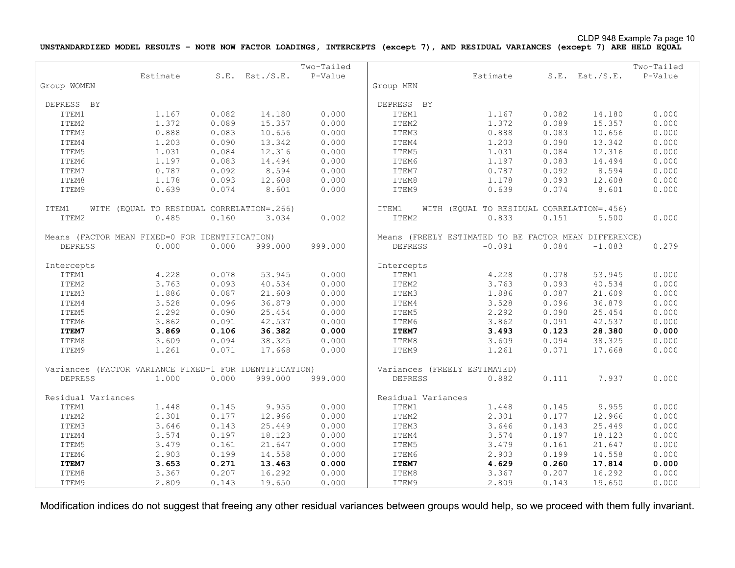CLDP 948 Example 7a page 10

**UNSTANDARDIZED MODEL RESULTS – NOTE NOW FACTOR LOADINGS, INTERCEPTS (except 7), AND RESIDUAL VARIANCES (except 7) ARE HELD EQUAL**

|                    |                                                        |       |                     | Two-Tailed |                    |                                                       |       |                | Two-Tailed |
|--------------------|--------------------------------------------------------|-------|---------------------|------------|--------------------|-------------------------------------------------------|-------|----------------|------------|
|                    | Estimate                                               |       | $S.E.$ Est./ $S.E.$ | P-Value    |                    | Estimate                                              |       | S.E. Est./S.E. | P-Value    |
| Group WOMEN        |                                                        |       |                     |            | Group MEN          |                                                       |       |                |            |
|                    |                                                        |       |                     |            |                    |                                                       |       |                |            |
| DEPRESS BY         |                                                        |       |                     |            | DEPRESS BY         |                                                       |       |                |            |
| ITEM1              | 1.167                                                  | 0.082 | 14.180              | 0.000      | ITEM1              | 1.167                                                 | 0.082 | 14.180         | 0.000      |
| ITEM2              | 1.372                                                  | 0.089 | 15.357              | 0.000      | ITEM2              | 1.372                                                 | 0.089 | 15.357         | 0.000      |
| ITEM3              | 0.888                                                  | 0.083 | 10.656              | 0.000      | ITEM3              | 0.888                                                 | 0.083 | 10.656         | 0.000      |
| ITEM4              | 1.203                                                  | 0.090 | 13.342              | 0.000      | ITEM4              | 1.203                                                 | 0.090 | 13.342         | 0.000      |
| ITEM5              | 1.031                                                  | 0.084 | 12.316              | 0.000      | ITEM5              | 1.031                                                 | 0.084 | 12.316         | 0.000      |
| ITEM6              | 1.197                                                  | 0.083 | 14.494              | 0.000      | ITEM6              | 1.197                                                 | 0.083 | 14.494         | 0.000      |
| ITEM7              | 0.787                                                  | 0.092 | 8.594               | 0.000      | ITEM7              | 0.787                                                 | 0.092 | 8.594          | 0.000      |
| ITEM8              | 1.178                                                  | 0.093 | 12.608              | 0.000      | ITEM8              | 1.178                                                 | 0.093 | 12.608         | 0.000      |
| ITEM9              | 0.639                                                  | 0.074 | 8.601               | 0.000      | ITEM9              | 0.639                                                 | 0.074 | 8.601          | 0.000      |
|                    |                                                        |       |                     |            |                    |                                                       |       |                |            |
| ITEM1              | WITH (EQUAL TO RESIDUAL CORRELATION=.266)              |       |                     |            | ITEM1              | WITH (EQUAL TO RESIDUAL CORRELATION=.456)             |       |                |            |
| ITEM2              | 0.485                                                  | 0.160 | 3.034               | 0.002      | ITEM2              | 0.833                                                 | 0.151 | 5.500          | 0.000      |
|                    |                                                        |       |                     |            |                    |                                                       |       |                |            |
|                    | Means (FACTOR MEAN FIXED=0 FOR IDENTIFICATION)         |       |                     |            |                    | Means (FREELY ESTIMATED TO BE FACTOR MEAN DIFFERENCE) |       |                |            |
| <b>DEPRESS</b>     | 0.000                                                  | 0.000 | 999.000             | 999.000    | <b>DEPRESS</b>     | $-0.091$                                              | 0.084 | $-1.083$       | 0.279      |
|                    |                                                        |       |                     |            |                    |                                                       |       |                |            |
| Intercepts         |                                                        |       |                     |            | Intercepts         |                                                       |       |                |            |
| ITEM1              | 4.228                                                  | 0.078 | 53.945              | 0.000      | ITEM1              | 4.228                                                 | 0.078 | 53.945         | 0.000      |
| ITEM2              | 3.763                                                  | 0.093 | 40.534              | 0.000      | ITEM2              | 3.763                                                 | 0.093 | 40.534         | 0.000      |
| ITEM3              | 1.886                                                  | 0.087 | 21.609              | 0.000      | ITEM3              | 1.886                                                 | 0.087 | 21.609         | 0.000      |
| ITEM4              | 3.528                                                  | 0.096 | 36.879              | 0.000      | ITEM4              | 3.528                                                 | 0.096 | 36.879         | 0.000      |
| ITEM5              | 2.292                                                  | 0.090 | 25.454              | 0.000      | ITEM5              | 2.292                                                 | 0.090 | 25.454         | 0.000      |
| ITEM6              | 3.862                                                  | 0.091 | 42.537              | 0.000      | ITEM6              | 3.862                                                 | 0.091 | 42.537         | 0.000      |
| ITEM7              | 3.869                                                  | 0.106 | 36.382              | 0.000      | ITEM7              | 3.493                                                 | 0.123 | 28.380         | 0.000      |
| ITEM8              | 3.609                                                  | 0.094 | 38.325              | 0.000      | ITEM8              | 3.609                                                 | 0.094 | 38.325         | 0.000      |
| ITEM9              | 1.261                                                  | 0.071 | 17.668              | 0.000      | ITEM9              | 1.261                                                 | 0.071 | 17.668         | 0.000      |
|                    |                                                        |       |                     |            |                    |                                                       |       |                |            |
|                    | Variances (FACTOR VARIANCE FIXED=1 FOR IDENTIFICATION) |       |                     |            |                    | Variances (FREELY ESTIMATED)                          |       |                |            |
| <b>DEPRESS</b>     | 1,000                                                  | 0.000 | 999.000             | 999.000    | <b>DEPRESS</b>     | 0.882                                                 | 0.111 | 7.937          | 0.000      |
|                    |                                                        |       |                     |            |                    |                                                       |       |                |            |
| Residual Variances |                                                        |       |                     |            | Residual Variances |                                                       |       |                |            |
| ITEM1              | 1.448                                                  | 0.145 | 9.955               | 0.000      | ITEM1              | 1.448                                                 | 0.145 | 9.955          | 0.000      |
| ITEM2              | 2.301                                                  | 0.177 | 12.966              | 0.000      | ITEM2              | 2.301                                                 | 0.177 | 12.966         | 0.000      |
| ITEM3              | 3.646                                                  | 0.143 | 25.449              | 0.000      | ITEM3              | 3.646                                                 | 0.143 | 25.449         | 0.000      |
| ITEM4              | 3.574                                                  | 0.197 | 18.123              | 0.000      | ITEM4              | 3.574                                                 | 0.197 | 18.123         | 0.000      |
| ITEM5              | 3.479                                                  | 0.161 | 21.647              | 0.000      | ITEM5              | 3.479                                                 | 0.161 | 21.647         | 0.000      |
| ITEM6              | 2.903                                                  | 0.199 | 14.558              | 0.000      | ITEM6              | 2.903                                                 | 0.199 | 14.558         | 0.000      |
| ITEM7              | 3.653                                                  | 0.271 | 13.463              | 0.000      | ITEM7              | 4.629                                                 | 0.260 | 17.814         | 0.000      |
| ITEM8              | 3.367                                                  | 0.207 | 16.292              | 0.000      | ITEM8              | 3.367                                                 | 0.207 | 16.292         | 0.000      |
| ITEM9              | 2.809                                                  | 0.143 | 19.650              | 0.000      | ITEM9              | 2.809                                                 | 0.143 | 19.650         | 0.000      |

Modification indices do not suggest that freeing any other residual variances between groups would help, so we proceed with them fully invariant.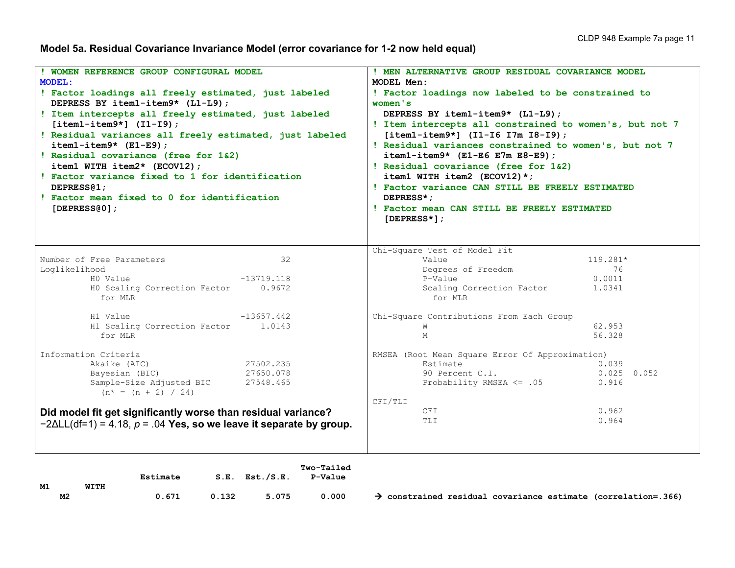**Model 5a. Residual Covariance Invariance Model (error covariance for 1-2 now held equal)**

| ! WOMEN REFERENCE GROUP CONFIGURAL MODEL                                                                                                                                                                                                                                                                                                                                                                                                                                                                | ! MEN ALTERNATIVE GROUP RESIDUAL COVARIANCE MODEL                                                                                                                                                                                                                                                                                                                                                                                                                                                    |  |  |  |
|---------------------------------------------------------------------------------------------------------------------------------------------------------------------------------------------------------------------------------------------------------------------------------------------------------------------------------------------------------------------------------------------------------------------------------------------------------------------------------------------------------|------------------------------------------------------------------------------------------------------------------------------------------------------------------------------------------------------------------------------------------------------------------------------------------------------------------------------------------------------------------------------------------------------------------------------------------------------------------------------------------------------|--|--|--|
| <b>MODEL:</b>                                                                                                                                                                                                                                                                                                                                                                                                                                                                                           | MODEL Men:                                                                                                                                                                                                                                                                                                                                                                                                                                                                                           |  |  |  |
| ! Factor loadings all freely estimated, just labeled<br>DEPRESS BY item1-item9* (L1-L9);<br>! Item intercepts all freely estimated, just labeled<br>$[item1 - item9*]$ $(I1 - I9)$ ;<br>! Residual variances all freely estimated, just labeled<br>$item1 - item9* (E1-E9);$<br>! Residual covariance (free for 1&2)<br>item1 WITH item2* $(ECOV12)$ ;<br>! Factor variance fixed to 1 for identification<br>DEPRESS <sub>(1</sub> ;<br>! Factor mean fixed to 0 for identification<br>[DEPRESS $(0)$ ; | ! Factor loadings now labeled to be constrained to<br>women's<br>DEPRESS BY item1-item9* (L1-L9);<br>! Item intercepts all constrained to women's, but not 7<br>$[item1 - item9*]$ (I1-I6 I7m I8-I9);<br>! Residual variances constrained to women's, but not 7<br>$item1 - item9*$ (E1-E6 E7m E8-E9);<br>! Residual covariance (free for 1&2)<br>item1 WITH item2 (ECOV12) $\star$ ;<br>! Factor variance CAN STILL BE FREELY ESTIMATED<br>DEPRESS*:<br>! Factor mean CAN STILL BE FREELY ESTIMATED |  |  |  |
|                                                                                                                                                                                                                                                                                                                                                                                                                                                                                                         | $[DEPRESS*]$ ;                                                                                                                                                                                                                                                                                                                                                                                                                                                                                       |  |  |  |
|                                                                                                                                                                                                                                                                                                                                                                                                                                                                                                         |                                                                                                                                                                                                                                                                                                                                                                                                                                                                                                      |  |  |  |
|                                                                                                                                                                                                                                                                                                                                                                                                                                                                                                         | Chi-Square Test of Model Fit                                                                                                                                                                                                                                                                                                                                                                                                                                                                         |  |  |  |
| Number of Free Parameters<br>32                                                                                                                                                                                                                                                                                                                                                                                                                                                                         | Value<br>119.281*                                                                                                                                                                                                                                                                                                                                                                                                                                                                                    |  |  |  |
| Loglikelihood                                                                                                                                                                                                                                                                                                                                                                                                                                                                                           | Degrees of Freedom<br>76                                                                                                                                                                                                                                                                                                                                                                                                                                                                             |  |  |  |
| HO Value<br>$-13719.118$                                                                                                                                                                                                                                                                                                                                                                                                                                                                                | 0.0011<br>P-Value                                                                                                                                                                                                                                                                                                                                                                                                                                                                                    |  |  |  |
| HO Scaling Correction Factor<br>0.9672<br>for MLR                                                                                                                                                                                                                                                                                                                                                                                                                                                       | Scaling Correction Factor<br>1.0341<br>for MLR                                                                                                                                                                                                                                                                                                                                                                                                                                                       |  |  |  |
| $-13657.442$<br>H1 Value                                                                                                                                                                                                                                                                                                                                                                                                                                                                                | Chi-Square Contributions From Each Group                                                                                                                                                                                                                                                                                                                                                                                                                                                             |  |  |  |
| H1 Scaling Correction Factor 1.0143                                                                                                                                                                                                                                                                                                                                                                                                                                                                     | 62.953<br>W                                                                                                                                                                                                                                                                                                                                                                                                                                                                                          |  |  |  |
| for MLR                                                                                                                                                                                                                                                                                                                                                                                                                                                                                                 | 56.328<br>М                                                                                                                                                                                                                                                                                                                                                                                                                                                                                          |  |  |  |
| Information Criteria                                                                                                                                                                                                                                                                                                                                                                                                                                                                                    | RMSEA (Root Mean Square Error Of Approximation)                                                                                                                                                                                                                                                                                                                                                                                                                                                      |  |  |  |
| 27502.235<br>Akaike (AIC)                                                                                                                                                                                                                                                                                                                                                                                                                                                                               | Estimate<br>0.039                                                                                                                                                                                                                                                                                                                                                                                                                                                                                    |  |  |  |
| 27650.078<br>Bayesian (BIC)                                                                                                                                                                                                                                                                                                                                                                                                                                                                             | 90 Percent C.I.<br>$0.025$ 0.052                                                                                                                                                                                                                                                                                                                                                                                                                                                                     |  |  |  |
| Sample-Size Adjusted BIC<br>27548.465                                                                                                                                                                                                                                                                                                                                                                                                                                                                   | Probability RMSEA <= .05<br>0.916                                                                                                                                                                                                                                                                                                                                                                                                                                                                    |  |  |  |
| $(n^* = (n + 2) / 24)$                                                                                                                                                                                                                                                                                                                                                                                                                                                                                  |                                                                                                                                                                                                                                                                                                                                                                                                                                                                                                      |  |  |  |
|                                                                                                                                                                                                                                                                                                                                                                                                                                                                                                         | CFI/TLI                                                                                                                                                                                                                                                                                                                                                                                                                                                                                              |  |  |  |
| Did model fit get significantly worse than residual variance?                                                                                                                                                                                                                                                                                                                                                                                                                                           | 0.962<br>CFI                                                                                                                                                                                                                                                                                                                                                                                                                                                                                         |  |  |  |
| $-2\Delta L L$ (df=1) = 4.18, p = .04 Yes, so we leave it separate by group.                                                                                                                                                                                                                                                                                                                                                                                                                            | 0.964<br>TLI                                                                                                                                                                                                                                                                                                                                                                                                                                                                                         |  |  |  |
|                                                                                                                                                                                                                                                                                                                                                                                                                                                                                                         |                                                                                                                                                                                                                                                                                                                                                                                                                                                                                                      |  |  |  |
|                                                                                                                                                                                                                                                                                                                                                                                                                                                                                                         |                                                                                                                                                                                                                                                                                                                                                                                                                                                                                                      |  |  |  |
|                                                                                                                                                                                                                                                                                                                                                                                                                                                                                                         |                                                                                                                                                                                                                                                                                                                                                                                                                                                                                                      |  |  |  |

| M1 |    | WITH | Estimate |       | $S.E.$ Est./ $S.E.$ | Two-Tailed<br><b>P-Value</b> |  |
|----|----|------|----------|-------|---------------------|------------------------------|--|
|    | м2 |      | 0.671    | 0.132 | 5.075               | 0.000                        |  |

 **M2 0.671 0.132 5.075 0.000 constrained residual covariance estimate (correlation=.366)**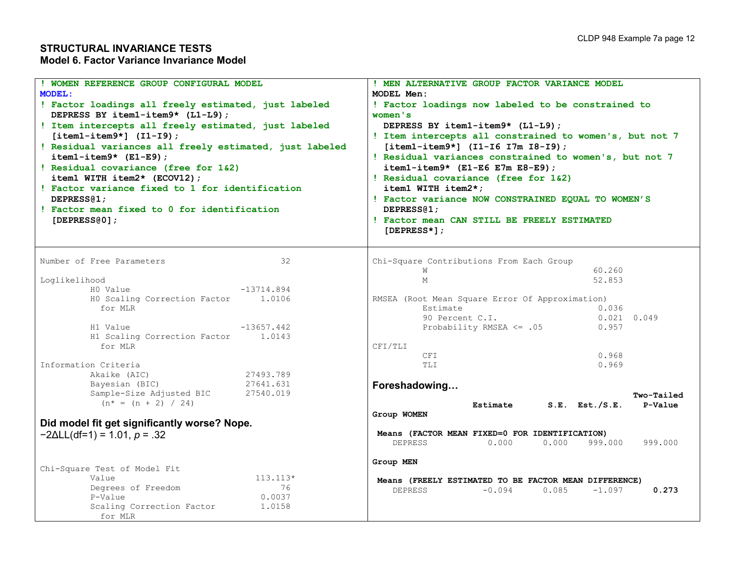| WOMEN REFERENCE GROUP CONFIGURAL MODEL                                                          | ! MEN ALTERNATIVE GROUP FACTOR VARIANCE MODEL           |  |  |  |  |  |  |
|-------------------------------------------------------------------------------------------------|---------------------------------------------------------|--|--|--|--|--|--|
| <b>MODEL:</b>                                                                                   | MODEL Men:                                              |  |  |  |  |  |  |
| ! Factor loadings all freely estimated, just labeled                                            | ! Factor loadings now labeled to be constrained to      |  |  |  |  |  |  |
| DEPRESS BY item1-item9* (L1-L9);                                                                | women's                                                 |  |  |  |  |  |  |
| ! Item intercepts all freely estimated, just labeled                                            | DEPRESS BY item1-item9* (L1-L9);                        |  |  |  |  |  |  |
| $[item1 - item9*]$ $(I1-I9)$ ;                                                                  | ! Item intercepts all constrained to women's, but not 7 |  |  |  |  |  |  |
| ! Residual variances all freely estimated, just labeled                                         | $[item1 - item9*]$ (I1-I6 I7m I8-I9);                   |  |  |  |  |  |  |
| $item1 - item9* (E1-E9);$                                                                       | ! Residual variances constrained to women's, but not 7  |  |  |  |  |  |  |
| ! Residual covariance (free for 1&2)                                                            | $item1 - item9*$ (E1-E6 E7m E8-E9);                     |  |  |  |  |  |  |
| item1 WITH item2* (ECOV12);                                                                     | ! Residual covariance (free for 1&2)                    |  |  |  |  |  |  |
| ! Factor variance fixed to 1 for identification                                                 | item1 WITH item2*;                                      |  |  |  |  |  |  |
| DEPRESS <sub>@1</sub> ;                                                                         | ! Factor variance NOW CONSTRAINED EQUAL TO WOMEN'S      |  |  |  |  |  |  |
| ! Factor mean fixed to 0 for identification                                                     | DEPRESS <sub>(1</sub> ;                                 |  |  |  |  |  |  |
|                                                                                                 | ! Factor mean CAN STILL BE FREELY ESTIMATED             |  |  |  |  |  |  |
| [DEPRESS $@0]$ ;                                                                                |                                                         |  |  |  |  |  |  |
|                                                                                                 | $[DEPRESS*]$ ;                                          |  |  |  |  |  |  |
|                                                                                                 |                                                         |  |  |  |  |  |  |
| Number of Free Parameters<br>32                                                                 | Chi-Square Contributions From Each Group                |  |  |  |  |  |  |
|                                                                                                 | 60.260<br>W                                             |  |  |  |  |  |  |
| Loglikelihood                                                                                   | 52.853<br>M                                             |  |  |  |  |  |  |
| HO Value<br>$-13714.894$                                                                        |                                                         |  |  |  |  |  |  |
| HO Scaling Correction Factor 1.0106                                                             | RMSEA (Root Mean Square Error Of Approximation)         |  |  |  |  |  |  |
| for MLR                                                                                         | Estimate<br>0.036                                       |  |  |  |  |  |  |
|                                                                                                 | $0.021$ $0.049$<br>90 Percent C.I.                      |  |  |  |  |  |  |
| H1 Value<br>$-13657.442$                                                                        | Probability RMSEA $\leq$ .05<br>0.957                   |  |  |  |  |  |  |
| H1 Scaling Correction Factor 1.0143                                                             |                                                         |  |  |  |  |  |  |
| for MLR                                                                                         | CFI/TLI                                                 |  |  |  |  |  |  |
|                                                                                                 | 0.968<br>CFI                                            |  |  |  |  |  |  |
| Information Criteria                                                                            | 0.969<br>TLI                                            |  |  |  |  |  |  |
| Akaike (AIC)<br>27493.789                                                                       |                                                         |  |  |  |  |  |  |
| Bayesian (BIC)<br>27641.631                                                                     | Foreshadowing                                           |  |  |  |  |  |  |
| Sample-Size Adjusted BIC<br>27540.019                                                           | Two-Tailed                                              |  |  |  |  |  |  |
| $(n^* = (n + 2) / 24)$                                                                          | $S.E.$ Est./ $S.E.$<br>P-Value<br>Estimate              |  |  |  |  |  |  |
|                                                                                                 | Group WOMEN                                             |  |  |  |  |  |  |
| Did model fit get significantly worse? Nope.                                                    |                                                         |  |  |  |  |  |  |
| $-2\Delta L L (df=1) = 1.01, p = .32$                                                           | Means (FACTOR MEAN FIXED=0 FOR IDENTIFICATION)          |  |  |  |  |  |  |
|                                                                                                 | 0.000<br>0.000<br>DEPRESS<br>999.000<br>999.000         |  |  |  |  |  |  |
|                                                                                                 |                                                         |  |  |  |  |  |  |
| Chi-Square Test of Model Fit                                                                    | Group MEN                                               |  |  |  |  |  |  |
| $113.113*$<br>Value                                                                             |                                                         |  |  |  |  |  |  |
|                                                                                                 | Means (FREELY ESTIMATED TO BE FACTOR MEAN DIFFERENCE)   |  |  |  |  |  |  |
|                                                                                                 |                                                         |  |  |  |  |  |  |
|                                                                                                 |                                                         |  |  |  |  |  |  |
|                                                                                                 |                                                         |  |  |  |  |  |  |
| Degrees of Freedom<br>76<br>0.0037<br>P-Value<br>Scaling Correction Factor<br>1.0158<br>for MLR | 0.085<br>$-0.094$<br>$-1.097$<br>0.273<br>DEPRESS       |  |  |  |  |  |  |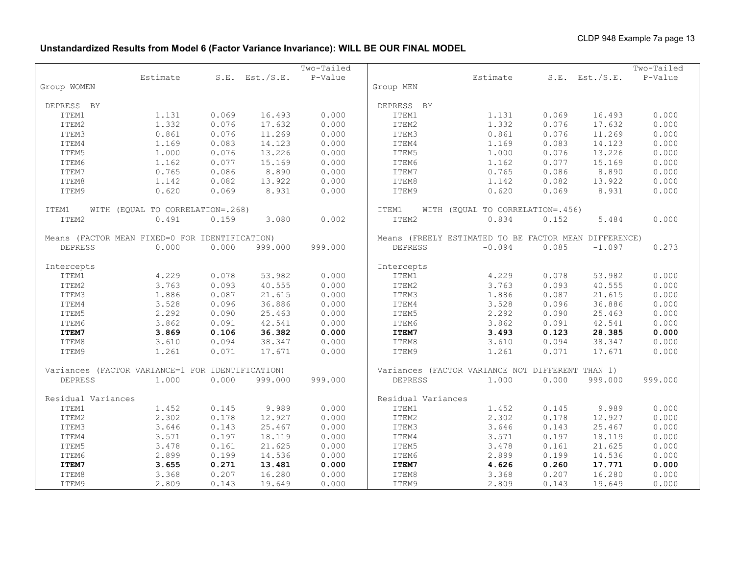# **Unstandardized Results from Model 6 (Factor Variance Invariance): WILL BE OUR FINAL MODEL**

|                                                  |                                  |       |                     | Two-Tailed |                                                  |                                                       |       |                     | Two-Tailed |
|--------------------------------------------------|----------------------------------|-------|---------------------|------------|--------------------------------------------------|-------------------------------------------------------|-------|---------------------|------------|
|                                                  | Estimate                         |       | $S.E.$ Est./ $S.E.$ | P-Value    |                                                  | Estimate                                              |       | $S.E.$ Est./ $S.E.$ | P-Value    |
| Group WOMEN                                      |                                  |       |                     |            | Group MEN                                        |                                                       |       |                     |            |
| DEPRESS BY                                       |                                  |       |                     |            | DEPRESS BY                                       |                                                       |       |                     |            |
| ITEM1                                            | 1.131                            | 0.069 | 16.493              | 0.000      | ITEM1                                            | 1.131                                                 | 0.069 | 16.493              | 0.000      |
| ITEM2                                            | 1.332                            | 0.076 | 17.632              | 0.000      | ITEM2                                            | 1.332                                                 | 0.076 | 17.632              | 0.000      |
| ITEM3                                            | 0.861                            | 0.076 | 11.269              | 0.000      | ITEM3                                            | 0.861                                                 | 0.076 | 11.269              | 0.000      |
| ITEM4                                            | 1.169                            | 0.083 | 14.123              | 0.000      | ITEM4                                            | 1.169                                                 | 0.083 | 14.123              | 0.000      |
| ITEM5                                            | 1.000                            | 0.076 | 13.226              | 0.000      | ITEM5                                            | 1.000                                                 | 0.076 | 13.226              | 0.000      |
| ITEM6                                            | 1.162                            | 0.077 | 15.169              | 0.000      | ITEM6                                            | 1.162                                                 | 0.077 | 15.169              | 0.000      |
| ITEM7                                            | 0.765                            | 0.086 | 8.890               | 0.000      | ITEM7                                            | 0.765                                                 | 0.086 | 8.890               | 0.000      |
| ITEM8                                            | 1.142                            | 0.082 | 13.922              | 0.000      | ITEM8                                            | 1.142                                                 | 0.082 | 13.922              | 0.000      |
| ITEM9                                            | 0.620                            | 0.069 | 8.931               | 0.000      | ITEM9<br>0.620                                   |                                                       | 0.069 | 8.931               | 0.000      |
| ITEM1                                            | WITH (EQUAL TO CORRELATION=.268) |       |                     |            | ITEM1                                            | WITH (EQUAL TO CORRELATION=.456)                      |       |                     |            |
| ITEM2                                            | 0.491                            | 0.159 | 3.080               | 0.002      | ITEM2                                            | 0.834                                                 | 0.152 | 5.484               | 0.000      |
| Means (FACTOR MEAN FIXED=0 FOR IDENTIFICATION)   |                                  |       |                     |            |                                                  | Means (FREELY ESTIMATED TO BE FACTOR MEAN DIFFERENCE) |       |                     |            |
| <b>DEPRESS</b>                                   | 0.000                            | 0.000 | 999.000             | 999.000    | <b>DEPRESS</b>                                   | $-0.094$                                              | 0.085 | $-1.097$            | 0.273      |
| Intercepts                                       |                                  |       |                     |            | Intercepts                                       |                                                       |       |                     |            |
| ITEM1                                            | 4.229                            | 0.078 | 53.982              | 0.000      | ITEM1                                            | 4.229                                                 | 0.078 | 53.982              | 0.000      |
| ITEM2                                            | 3.763                            | 0.093 | 40.555              | 0.000      | ITEM2                                            | 3.763                                                 | 0.093 | 40.555              | 0.000      |
| ITEM3                                            | 1.886                            | 0.087 | 21.615              | 0.000      | ITEM3                                            | 1.886                                                 | 0.087 | 21.615              | 0.000      |
| ITEM4                                            | 3.528                            | 0.096 | 36.886              | 0.000      | ITEM4                                            | 3.528                                                 | 0.096 | 36.886              | 0.000      |
| ITEM5                                            | 2.292                            | 0.090 | 25.463              | 0.000      | ITEM5                                            | 2.292                                                 | 0.090 | 25.463              | 0.000      |
| ITEM6                                            | 3.862                            | 0.091 | 42.541              | 0.000      | ITEM6                                            | 3.862                                                 | 0.091 | 42.541              | 0.000      |
| ITEM7                                            | 3.869                            | 0.106 | 36.382              | 0.000      | ITEM7                                            | 3.493                                                 | 0.123 | 28.385              | 0.000      |
| ITEM8                                            | 3.610                            | 0.094 | 38.347              | 0.000      | ITEM8                                            | 3.610                                                 | 0.094 | 38.347              | 0.000      |
| ITEM9                                            | 1.261                            | 0.071 | 17.671              | 0.000      | ITEM9                                            | 1.261                                                 | 0.071 | 17.671              | 0.000      |
|                                                  |                                  |       |                     |            |                                                  |                                                       |       |                     |            |
| Variances (FACTOR VARIANCE=1 FOR IDENTIFICATION) |                                  |       |                     |            | Variances (FACTOR VARIANCE NOT DIFFERENT THAN 1) |                                                       |       |                     |            |
| <b>DEPRESS</b>                                   | 1.000                            | 0.000 | 999.000             | 999.000    | <b>DEPRESS</b>                                   | 1.000                                                 | 0.000 | 999.000             | 999.000    |
| Residual Variances                               |                                  |       |                     |            | Residual Variances                               |                                                       |       |                     |            |
| ITEM1                                            | 1.452                            | 0.145 | 9.989               | 0.000      | ITEM1                                            | 1.452                                                 | 0.145 | 9.989               | 0.000      |
| ITEM2                                            | 2.302                            | 0.178 | 12.927              | 0.000      | ITEM2                                            | 2.302                                                 | 0.178 | 12.927              | 0.000      |
| ITEM3                                            | 3.646                            | 0.143 | 25.467              | 0.000      | ITEM3                                            | 3.646                                                 | 0.143 | 25.467              | 0.000      |
| ITEM4                                            | 3.571                            | 0.197 | 18.119              | 0.000      | ITEM4                                            | 3.571                                                 | 0.197 | 18.119              | 0.000      |
| ITEM5                                            | 3.478                            | 0.161 | 21.625              | 0.000      | ITEM5                                            | 3.478                                                 | 0.161 | 21.625              | 0.000      |
| ITEM6                                            | 2.899                            | 0.199 | 14.536              | 0.000      | ITEM6                                            | 2.899                                                 | 0.199 | 14.536              | 0.000      |
| ITEM7                                            | 3.655                            | 0.271 | 13.481              | 0.000      | ITEM7                                            | 4.626                                                 | 0.260 | 17.771              | 0.000      |
| ITEM8                                            | 3.368                            | 0.207 | 16.280              | 0.000      | ITEM8                                            | 3.368                                                 | 0.207 | 16.280              | 0.000      |
| ITEM9                                            | 2.809                            | 0.143 | 19.649              | 0.000      | ITEM9                                            | 2.809                                                 | 0.143 | 19.649              | 0.000      |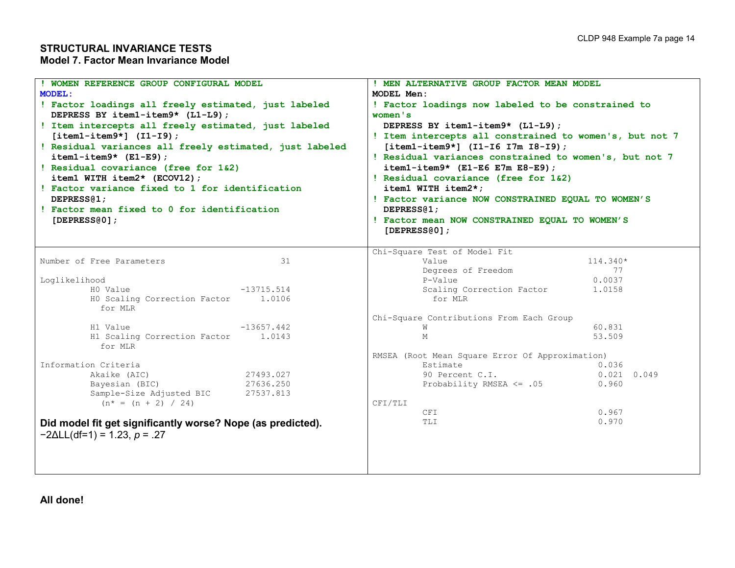# **STRUCTURAL INVARIANCE TESTS Model 7. Factor Mean Invariance Model**

| ! WOMEN REFERENCE GROUP CONFIGURAL MODEL<br><b>MODEL:</b>                                | ! MEN ALTERNATIVE GROUP FACTOR MEAN MODEL<br>MODEL Men:<br>! Factor loadings now labeled to be constrained to<br>women's<br>DEPRESS BY item1-item9* (L1-L9); |  |  |  |  |  |  |
|------------------------------------------------------------------------------------------|--------------------------------------------------------------------------------------------------------------------------------------------------------------|--|--|--|--|--|--|
| ! Factor loadings all freely estimated, just labeled<br>DEPRESS BY item1-item9* (L1-L9); |                                                                                                                                                              |  |  |  |  |  |  |
| ! Item intercepts all freely estimated, just labeled                                     |                                                                                                                                                              |  |  |  |  |  |  |
| $[item1 - item9*]$ $(I1 - I9)$ ;                                                         | ! Item intercepts all constrained to women's, but not 7                                                                                                      |  |  |  |  |  |  |
| ! Residual variances all freely estimated, just labeled                                  | $[item1 - item9*]$ (I1-I6 I7m I8-I9);                                                                                                                        |  |  |  |  |  |  |
| $item1 - item9*$ (E1-E9);                                                                | ! Residual variances constrained to women's, but not 7                                                                                                       |  |  |  |  |  |  |
| ! Residual covariance (free for 1&2)                                                     | $item1 - item9*$ (E1-E6 E7m E8-E9);                                                                                                                          |  |  |  |  |  |  |
| item1 WITH item2* (ECOV12);                                                              | ! Residual covariance (free for 1&2)                                                                                                                         |  |  |  |  |  |  |
| ! Factor variance fixed to 1 for identification<br>DEPRESS@1;                            | item1 WITH item2*;                                                                                                                                           |  |  |  |  |  |  |
| ! Factor mean fixed to 0 for identification                                              | ! Factor variance NOW CONSTRAINED EQUAL TO WOMEN'S<br>DEPRESS <sub>@1</sub> ;                                                                                |  |  |  |  |  |  |
| [DEPRESS $@01$ ;                                                                         | ! Factor mean NOW CONSTRAINED EQUAL TO WOMEN'S                                                                                                               |  |  |  |  |  |  |
|                                                                                          | [DEPRESS $(0)$ ;                                                                                                                                             |  |  |  |  |  |  |
|                                                                                          |                                                                                                                                                              |  |  |  |  |  |  |
|                                                                                          | Chi-Square Test of Model Fit                                                                                                                                 |  |  |  |  |  |  |
| Number of Free Parameters<br>31                                                          | Value<br>114.340*                                                                                                                                            |  |  |  |  |  |  |
|                                                                                          | Degrees of Freedom<br>77                                                                                                                                     |  |  |  |  |  |  |
| Loglikelihood                                                                            | P-Value<br>0.0037                                                                                                                                            |  |  |  |  |  |  |
| HO Value<br>$-13715.514$                                                                 | Scaling Correction Factor<br>1.0158                                                                                                                          |  |  |  |  |  |  |
| HO Scaling Correction Factor<br>1.0106<br>for MLR                                        | for MLR                                                                                                                                                      |  |  |  |  |  |  |
|                                                                                          | Chi-Square Contributions From Each Group                                                                                                                     |  |  |  |  |  |  |
| H1 Value<br>$-13657.442$                                                                 | 60.831<br>W                                                                                                                                                  |  |  |  |  |  |  |
| H1 Scaling Correction Factor<br>1.0143                                                   | 53.509<br>М                                                                                                                                                  |  |  |  |  |  |  |
| for MLR                                                                                  |                                                                                                                                                              |  |  |  |  |  |  |
|                                                                                          | RMSEA (Root Mean Square Error Of Approximation)                                                                                                              |  |  |  |  |  |  |
| Information Criteria                                                                     | Estimate<br>0.036                                                                                                                                            |  |  |  |  |  |  |
| 27493.027<br>Akaike (AIC)                                                                | 90 Percent C.I.<br>$0.021$ 0.049                                                                                                                             |  |  |  |  |  |  |
| Bayesian (BIC)<br>27636.250                                                              | Probability RMSEA $\leq$ .05<br>0.960                                                                                                                        |  |  |  |  |  |  |
| Sample-Size Adjusted BIC<br>27537.813<br>$(n^* = (n + 2) / 24)$                          | CFI/TLI                                                                                                                                                      |  |  |  |  |  |  |
|                                                                                          | 0.967<br>CFI                                                                                                                                                 |  |  |  |  |  |  |
| Did model fit get significantly worse? Nope (as predicted).                              | 0.970<br>TLI                                                                                                                                                 |  |  |  |  |  |  |
| $-2\Delta L L$ (df=1) = 1.23, p = .27                                                    |                                                                                                                                                              |  |  |  |  |  |  |
|                                                                                          |                                                                                                                                                              |  |  |  |  |  |  |
|                                                                                          |                                                                                                                                                              |  |  |  |  |  |  |
|                                                                                          |                                                                                                                                                              |  |  |  |  |  |  |
|                                                                                          |                                                                                                                                                              |  |  |  |  |  |  |

**All done!**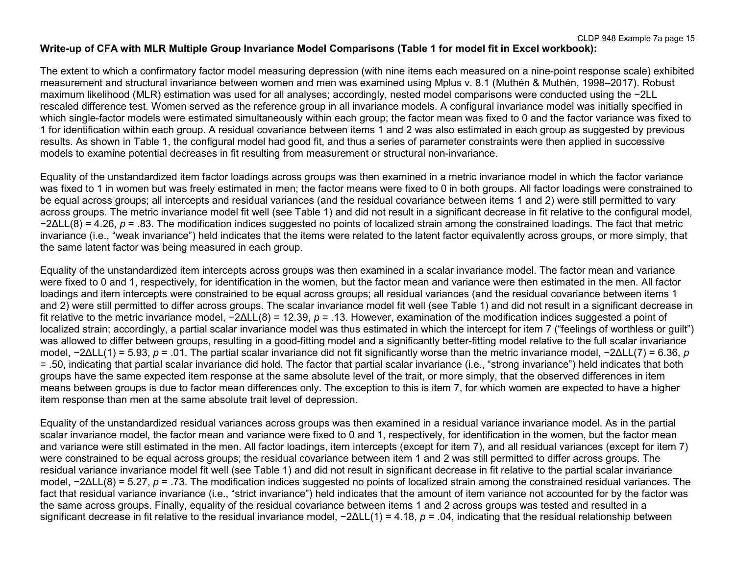# **Write-up of CFA with MLR Multiple Group Invariance Model Comparisons (Table 1 for model fit in Excel workbook):**

The extent to which a confirmatory factor model measuring depression (with nine items each measured on a nine-point response scale) exhibited measurement and structural invariance between women and men was examined using Mplus v. 8.1 (Muthén & Muthén, 1998–2017). Robust maximum likelihood (MLR) estimation was used for all analyses; accordingly, nested model comparisons were conducted using the −2LL rescaled difference test. Women served as the reference group in all invariance models. A configural invariance model was initially specified in which single-factor models were estimated simultaneously within each group; the factor mean was fixed to 0 and the factor variance was fixed to 1 for identification within each group. A residual covariance between items 1 and 2 was also estimated in each group as suggested by previous results. As shown in Table 1, the configural model had good fit, and thus a series of parameter constraints were then applied in successive models to examine potential decreases in fit resulting from measurement or structural non-invariance.

Equality of the unstandardized item factor loadings across groups was then examined in a metric invariance model in which the factor variance was fixed to 1 in women but was freely estimated in men; the factor means were fixed to 0 in both groups. All factor loadings were constrained to be equal across groups; all intercepts and residual variances (and the residual covariance between items 1 and 2) were still permitted to vary across groups. The metric invariance model fit well (see Table 1) and did not result in a significant decrease in fit relative to the configural model, −2ΔLL(8) = 4.26, *p* = .83. The modification indices suggested no points of localized strain among the constrained loadings. The fact that metric invariance (i.e., "weak invariance") held indicates that the items were related to the latent factor equivalently across groups, or more simply, that the same latent factor was being measured in each group.

Equality of the unstandardized item intercepts across groups was then examined in a scalar invariance model. The factor mean and variance were fixed to 0 and 1, respectively, for identification in the women, but the factor mean and variance were then estimated in the men. All factor loadings and item intercepts were constrained to be equal across groups; all residual variances (and the residual covariance between items 1 and 2) were still permitted to differ across groups. The scalar invariance model fit well (see Table 1) and did not result in a significant decrease in fit relative to the metric invariance model, −2ΔLL(8) = 12.39, *p* = .13. However, examination of the modification indices suggested a point of localized strain; accordingly, a partial scalar invariance model was thus estimated in which the intercept for item 7 ("feelings of worthless or guilt") was allowed to differ between groups, resulting in a good-fitting model and a significantly better-fitting model relative to the full scalar invariance model, −2ΔLL(1) = 5.93, *p* = .01. The partial scalar invariance did not fit significantly worse than the metric invariance model, −2ΔLL(7) = 6.36, *p* = .50, indicating that partial scalar invariance did hold. The factor that partial scalar invariance (i.e., "strong invariance") held indicates that both groups have the same expected item response at the same absolute level of the trait, or more simply, that the observed differences in item means between groups is due to factor mean differences only. The exception to this is item 7, for which women are expected to have a higher item response than men at the same absolute trait level of depression.

Equality of the unstandardized residual variances across groups was then examined in a residual variance invariance model. As in the partial scalar invariance model, the factor mean and variance were fixed to 0 and 1, respectively, for identification in the women, but the factor mean and variance were still estimated in the men. All factor loadings, item intercepts (except for item 7), and all residual variances (except for item 7) were constrained to be equal across groups; the residual covariance between item 1 and 2 was still permitted to differ across groups. The residual variance invariance model fit well (see Table 1) and did not result in significant decrease in fit relative to the partial scalar invariance model, −2ΔLL(8) = 5.27, *p* = .73. The modification indices suggested no points of localized strain among the constrained residual variances. The fact that residual variance invariance (i.e., "strict invariance") held indicates that the amount of item variance not accounted for by the factor was the same across groups. Finally, equality of the residual covariance between items 1 and 2 across groups was tested and resulted in a significant decrease in fit relative to the residual invariance model, −2ΔLL(1) = 4.18, *p* = .04, indicating that the residual relationship between